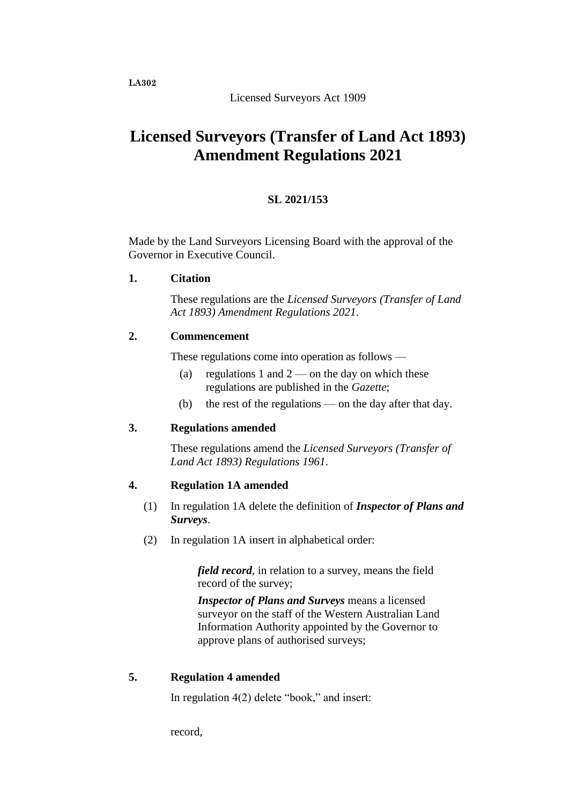**LA302**

Licensed Surveyors Act 1909

# **Licensed Surveyors (Transfer of Land Act 1893) Amendment Regulations 2021**

## **SL 2021/153**

Made by the Land Surveyors Licensing Board with the approval of the Governor in Executive Council.

**1. Citation**

These regulations are the *Licensed Surveyors (Transfer of Land Act 1893) Amendment Regulations 2021*.

### **2. Commencement**

These regulations come into operation as follows —

- (a) regulations 1 and  $2$  on the day on which these regulations are published in the *Gazette*;
- (b) the rest of the regulations on the day after that day.

### **3. Regulations amended**

These regulations amend the *Licensed Surveyors (Transfer of Land Act 1893) Regulations 1961*.

### **4. Regulation 1A amended**

- (1) In regulation 1A delete the definition of *Inspector of Plans and Surveys*.
- (2) In regulation 1A insert in alphabetical order:

*field record*, in relation to a survey, means the field record of the survey;

*Inspector of Plans and Surveys* means a licensed surveyor on the staff of the Western Australian Land Information Authority appointed by the Governor to approve plans of authorised surveys;

#### **5. Regulation 4 amended**

In regulation 4(2) delete "book," and insert:

record,